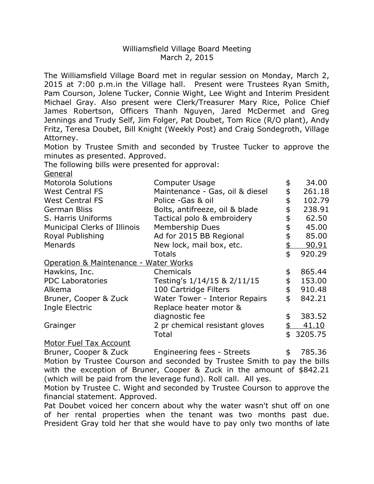## Williamsfield Village Board Meeting March 2, 2015

 The Williamsfield Village Board met in regular session on Monday, March 2, 2015 at 7:00 p.m.in the Village hall. Present were Trustees Ryan Smith, Pam Courson, Jolene Tucker, Connie Wight, Lee Wight and Interim President Michael Gray. Also present were Clerk/Treasurer Mary Rice, Police Chief James Robertson, Officers Thanh Nguyen, Jared McDermet and Greg Jennings and Trudy Self, Jim Folger, Pat Doubet, Tom Rice (R/O plant), Andy Fritz, Teresa Doubet, Bill Knight (Weekly Post) and Craig Sondegroth, Village Attorney.

 Motion by Trustee Smith and seconded by Trustee Tucker to approve the minutes as presented. Approved.

The following bills were presented for approval:

General

| <b>Motorola Solutions</b>             | <b>Computer Usage</b>           | \$<br>34.00   |
|---------------------------------------|---------------------------------|---------------|
| <b>West Central FS</b>                | Maintenance - Gas, oil & diesel | \$<br>261.18  |
| <b>West Central FS</b>                | Police -Gas & oil               | \$<br>102.79  |
| <b>German Bliss</b>                   | Bolts, antifreeze, oil & blade  | \$<br>238.91  |
| S. Harris Uniforms                    | Tactical polo & embroidery      | 62.50         |
| Municipal Clerks of Illinois          | Membership Dues                 | 45.00         |
| Royal Publishing                      | Ad for 2015 BB Regional         | 85.00         |
| Menards                               | New lock, mail box, etc.        | 90.91         |
|                                       | <b>Totals</b>                   | \$<br>920.29  |
| Operation & Maintenance - Water Works |                                 |               |
| Hawkins, Inc.                         | Chemicals                       | \$<br>865.44  |
| <b>PDC Laboratories</b>               | Testing's 1/14/15 & 2/11/15     | 153.00        |
| Alkema                                | 100 Cartridge Filters           | \$<br>910.48  |
| Bruner, Cooper & Zuck                 | Water Tower - Interior Repairs  | \$<br>842.21  |
| Ingle Electric                        | Replace heater motor &          |               |
|                                       | diagnostic fee                  | \$<br>383.52  |
| Grainger                              | 2 pr chemical resistant gloves  | 41.10         |
|                                       | Total                           | \$<br>3205.75 |
| $\cdots$                              |                                 |               |

## Motor Fuel Tax Account

Bruner, Cooper & Zuck Motion by Trustee Courson and seconded by Trustee Smith to pay the bills with the exception of Bruner, Cooper & Zuck in the amount of \$842.21 (which will be paid from the leverage fund). Roll call. All yes. Engineering fees - Streets  $\qquad \qquad$  \$ 785.36

 Motion by Trustee C. Wight and seconded by Trustee Courson to approve the financial statement. Approved.

 Pat Doubet voiced her concern about why the water wasn't shut off on one of her rental properties when the tenant was two months past due. President Gray told her that she would have to pay only two months of late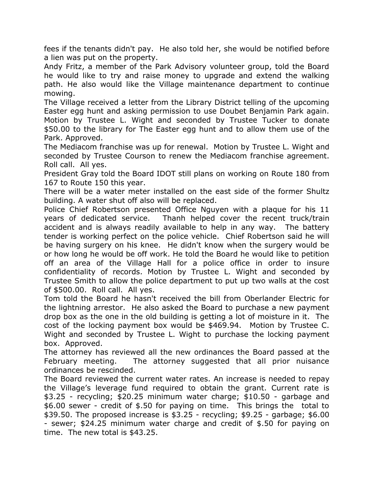fees if the tenants didn't pay. He also told her, she would be notified before a lien was put on the property.

 Andy Fritz, a member of the Park Advisory volunteer group, told the Board he would like to try and raise money to upgrade and extend the walking path. He also would like the Village maintenance department to continue mowing.

 The Village received a letter from the Library District telling of the upcoming Easter egg hunt and asking permission to use Doubet Benjamin Park again. Motion by Trustee L. Wight and seconded by Trustee Tucker to donate \$50.00 to the library for The Easter egg hunt and to allow them use of the Park. Approved.

 The Mediacom franchise was up for renewal. Motion by Trustee L. Wight and seconded by Trustee Courson to renew the Mediacom franchise agreement. Roll call. All yes.

 President Gray told the Board IDOT still plans on working on Route 180 from 167 to Route 150 this year.

 There will be a water meter installed on the east side of the former Shultz building. A water shut off also will be replaced.

 Police Chief Robertson presented Office Nguyen with a plaque for his 11 years of dedicated service. accident and is always readily available to help in any way. The battery tender is working perfect on the police vehicle. Chief Robertson said he will be having surgery on his knee. He didn't know when the surgery would be or how long he would be off work. He told the Board he would like to petition off an area of the Village Hall for a police office in order to insure confidentiality of records. Motion by Trustee L. Wight and seconded by Trustee Smith to allow the police department to put up two walls at the cost of \$500.00. Roll call. All yes. Thanh helped cover the recent truck/train

 Tom told the Board he hasn't received the bill from Oberlander Electric for the lightning arrestor. He also asked the Board to purchase a new payment drop box as the one in the old building is getting a lot of moisture in it. The cost of the locking payment box would be \$469.94. Motion by Trustee C. Wight and seconded by Trustee L. Wight to purchase the locking payment box. Approved.

 The attorney has reviewed all the new ordinances the Board passed at the February meeting. ordinances be rescinded. The attorney suggested that all prior nuisance

 The Board reviewed the current water rates. An increase is needed to repay the Village's leverage fund required to obtain the grant. Current rate is \$3.25 - recycling; \$20.25 minimum water charge; \$10.50 - garbage and \$6.00 sewer - credit of \$.50 for paying on time. This brings the total to \$39.50. The proposed increase is \$3.25 - recycling; \$9.25 - garbage; \$6.00 - sewer; \$24.25 minimum water charge and credit of \$.50 for paying on time. The new total is \$43.25.